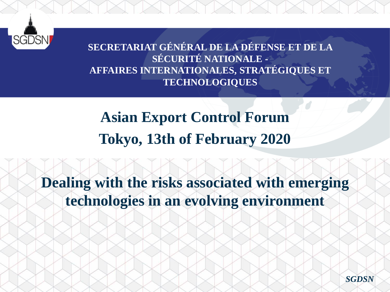

**SECRETARIAT GÉNÉRAL DE LA DÉFENSE ET DE LA SÉCURITÉ NATIONALE - AFFAIRES INTERNATIONALES, STRATÉGIQUES ET TECHNOLOGIQUES** 

**Asian Export Control Forum Tokyo, 13th of February 2020**

**Dealing with the risks associated with emerging technologies in an evolving environment** 

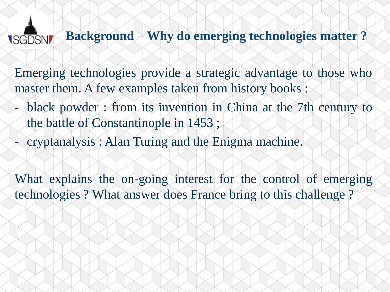#### **Background – Why do emerging technologies matter ? ISGDSN**

Emerging technologies provide a strategic advantage to those who master them. A few examples taken from history books :

- black powder : from its invention in China at the 7th century to the battle of Constantinople in 1453 ;
- cryptanalysis : Alan Turing and the Enigma machine.

What explains the on-going interest for the control of emerging technologies ? What answer does France bring to this challenge ?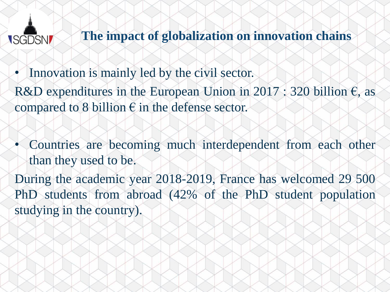## **ISGDSN**

**The impact of globalization on innovation chains**

- Innovation is mainly led by the civil sector.
- R&D expenditures in the European Union in 2017 : 320 billion  $\epsilon$ , as compared to 8 billion  $\epsilon$  in the defense sector.
- Countries are becoming much interdependent from each other than they used to be.
- During the academic year 2018-2019, France has welcomed 29 500 PhD students from abroad (42% of the PhD student population studying in the country).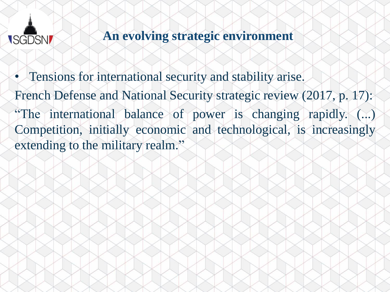

# **An evolving strategic environment**

• Tensions for international security and stability arise. French Defense and National Security strategic review (2017, p. 17): "The international balance of power is changing rapidly. (...) Competition, initially economic and technological, is increasingly extending to the military realm."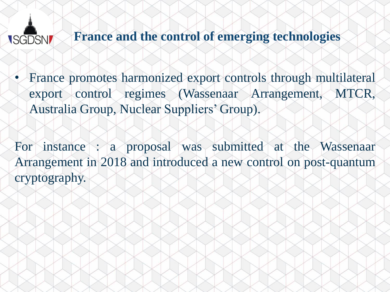### **France and the control of emerging technologies ISGDSN**

• France promotes harmonized export controls through multilateral export control regimes (Wassenaar Arrangement, MTCR, Australia Group, Nuclear Suppliers' Group).

For instance : a proposal was submitted at the Wassenaar Arrangement in 2018 and introduced a new control on post-quantum cryptography.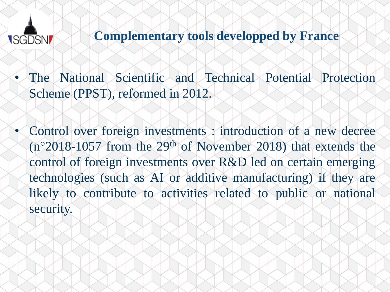

## **Complementary tools developped by France**

- The National Scientific and Technical Potential Protection Scheme (PPST), reformed in 2012.
- Control over foreign investments : introduction of a new decree (n°2018-1057 from the 29th of November 2018) that extends the control of foreign investments over R&D led on certain emerging technologies (such as AI or additive manufacturing) if they are likely to contribute to activities related to public or national security.